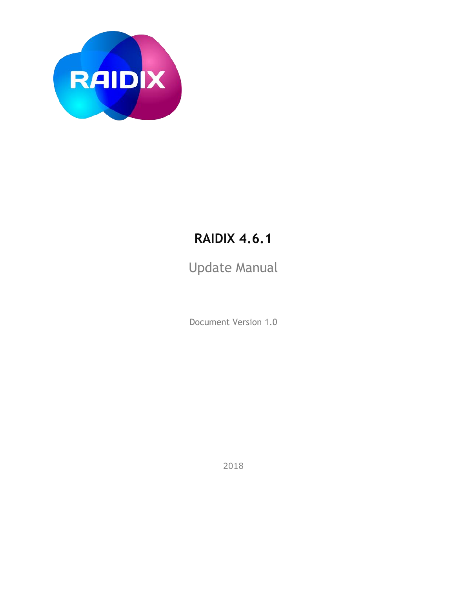

## **RAIDIX 4.6.1**

Update Manual

Document Version 1.0

2018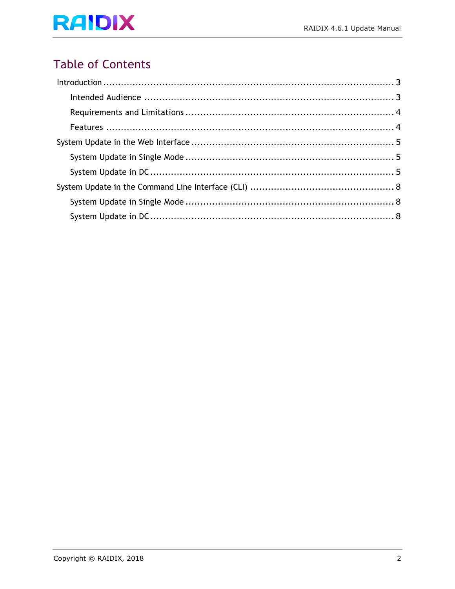### **Table of Contents**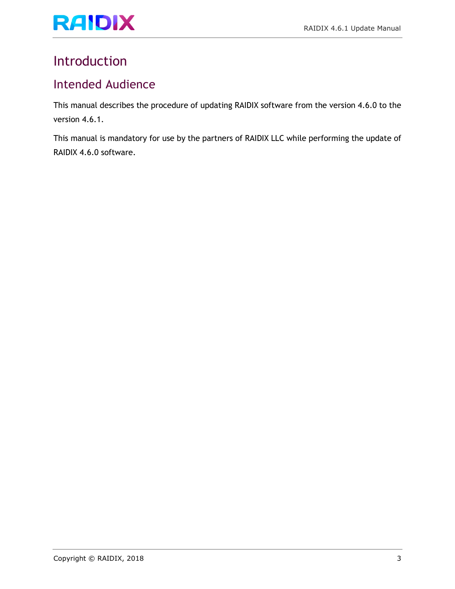## <span id="page-2-0"></span>Introduction

#### <span id="page-2-1"></span>Intended Audience

This manual describes the procedure of updating RAIDIX software from the version 4.6.0 to the version 4.6.1.

This manual is mandatory for use by the partners of RAIDIX LLC while performing the update of RAIDIX 4.6.0 software.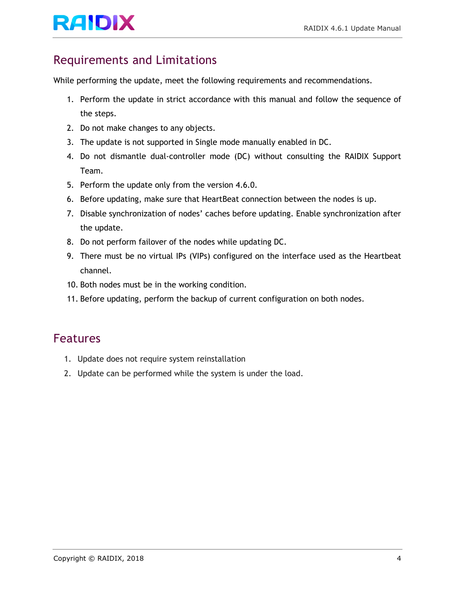# RAIDIX RAIDIX A.6.1 Update Manual

### <span id="page-3-0"></span>Requirements and Limitations

While performing the update, meet the following requirements and recommendations.

- 1. Perform the update in strict accordance with this manual and follow the sequence of the steps.
- 2. Do not make changes to any objects.
- 3. The update is not supported in Single mode manually enabled in DC.
- 4. Do not dismantle dual-controller mode (DC) without consulting the RAIDIX Support Team.
- 5. Perform the update only from the version 4.6.0.
- 6. Before updating, make sure that HeartBeat connection between the nodes is up.
- 7. Disable synchronization of nodes' caches before updating. Enable synchronization after the update.
- 8. Do not perform failover of the nodes while updating DC.
- 9. There must be no virtual IPs (VIPs) configured on the interface used as the Heartbeat channel.
- 10. Both nodes must be in the working condition.
- 11. Before updating, perform the backup of current configuration on both nodes.

#### <span id="page-3-1"></span>Features

- 1. Update does not require system reinstallation
- 2. Update can be performed while the system is under the load.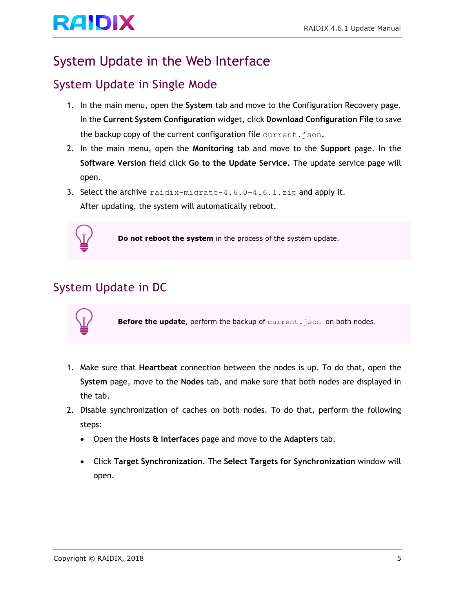# RAIDIX RAIDIX A.6.1 Update Manual

## <span id="page-4-0"></span>System Update in the Web Interface

### <span id="page-4-1"></span>System Update in Single Mode

- 1. In the main menu, open the **System** tab and move to the Configuration Recovery page. In the **Current System Configuration** widget, click **Download Configuration File** to save the backup copy of the current configuration file current.json.
- 2. In the main menu, open the **Monitoring** tab and move to the **Support** page. In the **Software Version** field click **Go to the Update Service.** The update service page will open.
- 3. Select the archive  $r_{\text{aidix-migrate-4.6.0-4.6.1.zip}}$  and apply it. After updating, the system will automatically reboot.



**Do not reboot the system** in the process of the system update.

### <span id="page-4-2"></span>System Update in DC



Before the update, perform the backup of current.json on both nodes.

- 1. Make sure that **Heartbeat** connection between the nodes is up. To do that, open the **System** page, move to the **Nodes** tab, and make sure that both nodes are displayed in the tab.
- 2. Disable synchronization of caches on both nodes. To do that, perform the following steps:
	- Open the **Hosts & Interfaces** page and move to the **Adapters** tab.
	- Click **Target Synchronization**. The **Select Targets for Synchronization** window will open.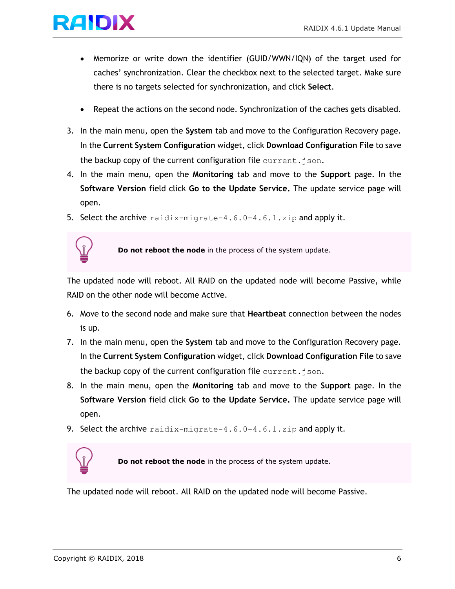# RAIDIX RAIDIX ALL Update Manual

- Memorize or write down the identifier (GUID/WWN/IQN) of the target used for caches' synchronization. Clear the checkbox next to the selected target. Make sure there is no targets selected for synchronization, and click **Select**.
- Repeat the actions on the second node. Synchronization of the caches gets disabled.
- 3. In the main menu, open the **System** tab and move to the Configuration Recovery page. In the **Current System Configuration** widget, click **Download Configuration File** to save the backup copy of the current configuration file current.json.
- 4. In the main menu, open the **Monitoring** tab and move to the **Support** page. In the **Software Version** field click **Go to the Update Service.** The update service page will open.
- 5. Select the archive  $r_{\text{aidix-migrate-4.6.0-4.6.1.zip}$  and apply it.



**Do not reboot the node** in the process of the system update.

The updated node will reboot. All RAID on the updated node will become Passive, while RAID on the other node will become Active.

- 6. Move to the second node and make sure that **Heartbeat** connection between the nodes is up.
- 7. In the main menu, open the **System** tab and move to the Configuration Recovery page. In the **Current System Configuration** widget, click **Download Configuration File** to save the backup copy of the current configuration file current.  $\frac{1}{1}$ son.
- 8. In the main menu, open the **Monitoring** tab and move to the **Support** page. In the **Software Version** field click **Go to the Update Service.** The update service page will open.
- 9. Select the archive raidix-migrate-4.6.0-4.6.1.zip and apply it.



**Do not reboot the node** in the process of the system update.

The updated node will reboot. All RAID on the updated node will become Passive.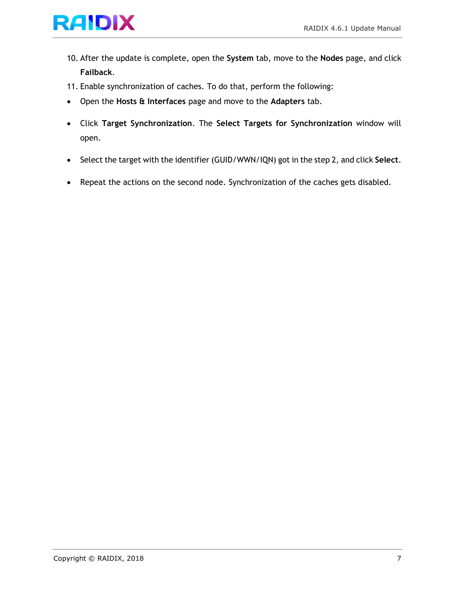

- 10. After the update is complete, open the **System** tab, move to the **Nodes** page, and click **Failback**.
- 11. Enable synchronization of caches. To do that, perform the following:
- Open the **Hosts & Interfaces** page and move to the **Adapters** tab.
- Click **Target Synchronization**. The **Select Targets for Synchronization** window will open.
- Select the target with the identifier (GUID/WWN/IQN) got in the step 2, and click **Select**.
- Repeat the actions on the second node. Synchronization of the caches gets disabled.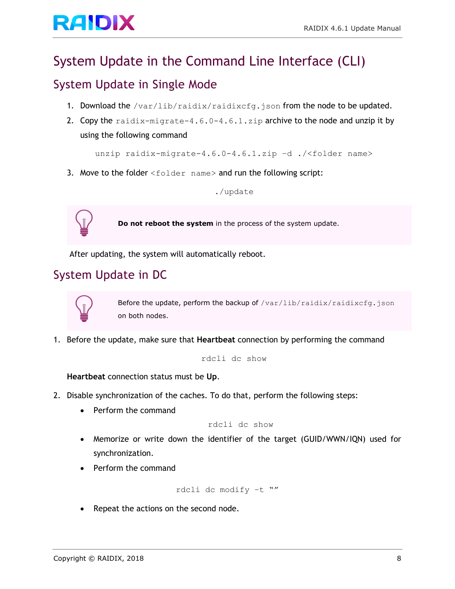# RAIDIX RAIDIX ALL Update Manual

## <span id="page-7-0"></span>System Update in the Command Line Interface (CLI)

#### <span id="page-7-1"></span>System Update in Single Mode

- 1. Download the /var/lib/raidix/raidixcfg.json from the node to be updated.
- 2. Copy the raidix-migrate-4.6.0-4.6.1.zip archive to the node and unzip it by using the following command

unzip raidix-migrate-4.6.0-4.6.1.zip –d ./<folder name>

3. Move to the folder <folder name> and run the following script:

./update



**Do not reboot the system** in the process of the system update.

After updating, the system will automatically reboot.

#### <span id="page-7-2"></span>System Update in DC



Before the update, perform the backup of /var/lib/raidix/raidixcfg.json on both nodes.

1. Before the update, make sure that **Heartbeat** connection by performing the command

rdcli dc show

**Heartbeat** connection status must be **Up**.

- 2. Disable synchronization of the caches. To do that, perform the following steps:
	- Perform the command

rdcli dc show

- Memorize or write down the identifier of the target (GUID/WWN/IQN) used for synchronization.
- Perform the command

rdcli dc modify –t ""

• Repeat the actions on the second node.